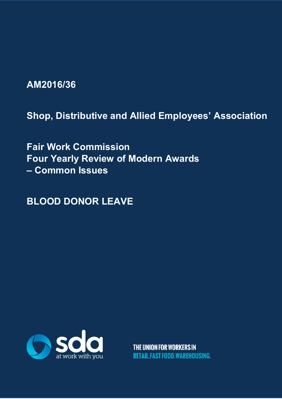**AM2016/36** 

**Shop, Distributive and Allied Employees' Association** 

**Fair Work Commission Four Yearly Review of Modern Awards – Common Issues** 

**BLOOD DONOR LEAVE**



THE UNION FOR WORKERS IN **RETAIL FAST FOOD WARFHOUSING.**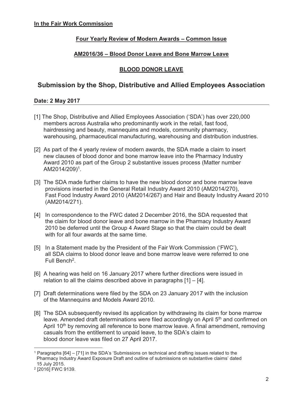### **Four Yearly Review of Modern Awards – Common Issue**

### **AM2016/36 – Blood Donor Leave and Bone Marrow Leave**

### **BLOOD DONOR LEAVE**

# **Submission by the Shop, Distributive and Allied Employees Association**

### **Date: 2 May 2017**

- [1] The Shop, Distributive and Allied Employees Association ('SDA') has over 220,000 members across Australia who predominantly work in the retail, fast food, hairdressing and beauty, mannequins and models, community pharmacy, warehousing, pharmaceutical manufacturing, warehousing and distribution industries.
- [2] As part of the 4 yearly review of modern awards, the SDA made a claim to insert new clauses of blood donor and bone marrow leave into the Pharmacy Industry Award 2010 as part of the Group 2 substantive issues process (Matter number AM2014/209)1.
- [3] The SDA made further claims to have the new blood donor and bone marrow leave provisions inserted in the General Retail Industry Award 2010 (AM2014/270), Fast Food Industry Award 2010 (AM2014/267) and Hair and Beauty Industry Award 2010 (AM2014/271).
- [4] In correspondence to the FWC dated 2 December 2016, the SDA requested that the claim for blood donor leave and bone marrow in the Pharmacy Industry Award 2010 be deferred until the Group 4 Award Stage so that the claim could be dealt with for all four awards at the same time.
- [5] In a Statement made by the President of the Fair Work Commission ('FWC'), all SDA claims to blood donor leave and bone marrow leave were referred to one Full Bench<sup>2</sup>.
- [6] A hearing was held on 16 January 2017 where further directions were issued in relation to all the claims described above in paragraphs [1] – [4].
- [7] Draft determinations were filed by the SDA on 23 January 2017 with the inclusion of the Mannequins and Models Award 2010.
- [8] The SDA subsequently revised its application by withdrawing its claim for bone marrow leave. Amended draft determinations were filed accordingly on April 5<sup>th</sup> and confirmed on April 10<sup>th</sup> by removing all reference to bone marrow leave. A final amendment, removing casuals from the entitlement to unpaid leave, to the SDA's claim to blood donor leave was filed on 27 April 2017.

 $\overline{a}$ 1 Paragraphs [64] – [71] in the SDA's 'Submissions on technical and drafting issues related to the Pharmacy Industry Award Exposure Draft and outline of submissions on substantive claims' dated 15 July 2015.

<sup>2 [2016]</sup> FWC 9139.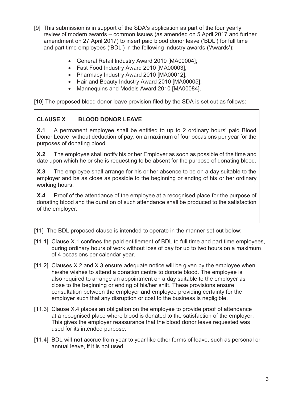- [9] This submission is in support of the SDA's application as part of the four yearly review of modern awards – common issues (as amended on 5 April 2017 and further amendment on 27 April 2017) to insert paid blood donor leave ('BDL') for full time and part time employees ('BDL') in the following industry awards ('Awards'):
	- General Retail Industry Award 2010 [MA00004];
	- Fast Food Industry Award 2010 [MA00003];
	- Pharmacy Industry Award 2010 [MA00012];
	- Hair and Beauty Industry Award 2010 [MA00005];
	- Mannequins and Models Award 2010 [MA00084].

[10] The proposed blood donor leave provision filed by the SDA is set out as follows:

# **CLAUSE X BLOOD DONOR LEAVE**

**X.1** A permanent employee shall be entitled to up to 2 ordinary hours' paid Blood Donor Leave, without deduction of pay, on a maximum of four occasions per year for the purposes of donating blood.

**X.2** The employee shall notify his or her Employer as soon as possible of the time and date upon which he or she is requesting to be absent for the purpose of donating blood.

**X.3** The employee shall arrange for his or her absence to be on a day suitable to the employer and be as close as possible to the beginning or ending of his or her ordinary working hours.

**X.4** Proof of the attendance of the employee at a recognised place for the purpose of donating blood and the duration of such attendance shall be produced to the satisfaction of the employer.

[11] The BDL proposed clause is intended to operate in the manner set out below:

- [11.1] Clause X.1 confines the paid entitlement of BDL to full time and part time employees, during ordinary hours of work without loss of pay for up to two hours on a maximum of 4 occasions per calendar year.
- [11.2] Clauses X.2 and X.3 ensure adequate notice will be given by the employee when he/she wishes to attend a donation centre to donate blood. The employee is also required to arrange an appointment on a day suitable to the employer as close to the beginning or ending of his/her shift. These provisions ensure consultation between the employer and employee providing certainty for the employer such that any disruption or cost to the business is negligible.
- [11.3] Clause X.4 places an obligation on the employee to provide proof of attendance at a recognised place where blood is donated to the satisfaction of the employer. This gives the employer reassurance that the blood donor leave requested was used for its intended purpose.
- [11.4] BDL will **not** accrue from year to year like other forms of leave, such as personal or annual leave, if it is not used.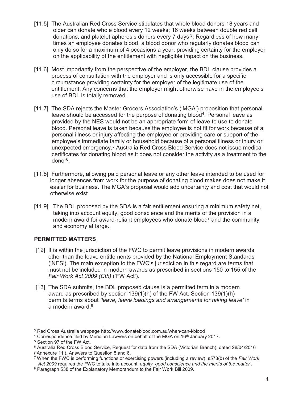- [11.5] The Australian Red Cross Service stipulates that whole blood donors 18 years and older can donate whole blood every 12 weeks; 16 weeks between double red cell donations, and platelet apheresis donors every 7 days<sup>3</sup>. Regardless of how many times an employee donates blood, a blood donor who regularly donates blood can only do so for a maximum of 4 occasions a year, providing certainty for the employer on the applicability of the entitlement with negligible impact on the business.
- [11.6] Most importantly from the perspective of the employer, the BDL clause provides a process of consultation with the employer and is only accessible for a specific circumstance providing certainty for the employer of the legitimate use of the entitlement. Any concerns that the employer might otherwise have in the employee's use of BDL is totally removed.
- [11.7] The SDA rejects the Master Grocers Association's ('MGA') proposition that personal leave should be accessed for the purpose of donating blood<sup>4</sup>. Personal leave as provided by the NES would not be an appropriate form of leave to use to donate blood. Personal leave is taken because the employee is not fit for work because of a personal illness or injury affecting the employee or providing care or support of the employee's immediate family or household because of a personal illness or injury or unexpected emergency.5 Australia Red Cross Blood Service does not issue medical certificates for donating blood as it does not consider the activity as a treatment to the donor6.
- [11.8] Furthermore, allowing paid personal leave or any other leave intended to be used for longer absences from work for the purpose of donating blood makes does not make it easier for business. The MGA's proposal would add uncertainty and cost that would not otherwise exist.
- [11.9] The BDL proposed by the SDA is a fair entitlement ensuring a minimum safety net, taking into account equity, good conscience and the merits of the provision in a modern award for award-reliant employees who donate blood<sup>7</sup> and the community and economy at large.

### **PERMITTED MATTERS**

- [12] It is within the jurisdiction of the FWC to permit leave provisions in modern awards other than the leave entitlements provided by the National Employment Standards ('NES'). The main exception to the FWC's jurisdiction in this regard are terms that must not be included in modern awards as prescribed in sections 150 to 155 of the *Fair Work Act 2009 (Cth)* ('FW Act').
- [13] The SDA submits, the BDL proposed clause is a permitted term in a modern award as prescribed by section 139(1)(h) of the FW Act. Section 139(1)(h) permits terms about *'leave, leave loadings and arrangements for taking leave'* in a modern award. $8$

<sup>3</sup> Red Cross Australia webpage http://www.donateblood.com.au/when-can-i/blood

<sup>4</sup> Correspondence filed by Meridian Lawyers on behalf of the MGA on 16th January 2017.

<sup>5</sup> Section 97 of the FW Act.

<sup>6</sup> Australia Red Cross Blood Service, Request for data from the SDA (Victorian Branch), dated 28/04/2016 ('Annexure 11'), Answers to Question 5 and 6.

<sup>7</sup> When the FWC is performing functions or exercising powers (including a review), s578(b) of the *Fair Work Act 2009* requires the FWC to take into account *'equity, good conscience and the merits of the matter'*. 8 Paragraph 538 of the Explanatory Memorandum to the Fair Work Bill 2009.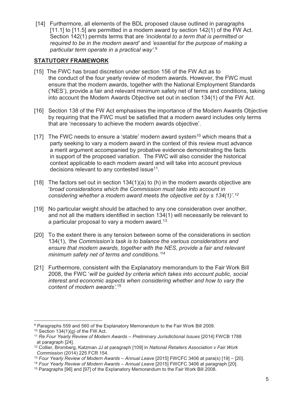[14] Furthermore, all elements of the BDL proposed clause outlined in paragraphs [11.1] to [11.5] are permitted in a modern award by section 142(1) of the FW Act. Section 142(1) permits terms that are *'incidental to a term that is permitted or required to be in the modern award'* and *'essential for the purpose of making a particular term operate in a practical way'*. 9

#### **STATUTORY FRAMEWORK**

- [15] The FWC has broad discretion under section 156 of the FW Act as to the conduct of the four yearly review of modern awards. However, the FWC must ensure that the modern awards, together with the National Employment Standards ('NES'), provide a fair and relevant minimum safety net of terms and conditions, taking into account the Modern Awards Objective set out in section 134(1) of the FW Act.
- [16] Section 138 of the FW Act emphasises the importance of the Modern Awards Objective by requiring that the FWC must be satisfied that a modern award includes only terms that are 'necessary to achieve the modern awards objective'.
- [17] The FWC needs to ensure a 'stable' modern award system<sup>10</sup> which means that a party seeking to vary a modern award in the context of this review must advance a merit argument accompanied by probative evidence demonstrating the facts in support of the proposed variation. The FWC will also consider the historical context applicable to each modern award and will take into account previous decisions relevant to any contested issue<sup>11</sup>.
- [18] The factors set out in section  $134(1)(a)$  to (h) in the modern awards objective are '*broad considerations which the Commission must take into account in considering whether a modern award meets the objective set by s 134(1)'.12*
- [19] No particular weight should be attached to any one consideration over another, and not all the matters identified in section 134(1) will necessarily be relevant to a particular proposal to vary a modern award.<sup>13</sup>
- [20] To the extent there is any tension between some of the considerations in section 134(1), *'the Commission's task is to balance the various considerations and ensure that modern awards, together with the NES, provide a fair and relevant minimum safety net of terms and conditions.'14*
- [21] Furthermore, consistent with the Explanatory memorandum to the Fair Work Bill 2008, the FWC '*will be guided by criteria which takes into account public, social interest and economic aspects when considering whether and how to vary the content of modern awards'*. 15

<sup>9</sup> Paragraphs 559 and 560 of the Explanatory Memorandum to the Fair Work Bill 2009.

 $10$  Section 134(1)(g) of the FW Act.

<sup>11</sup> *Re Four Yearly Review of Modern Awards – Preliminary Jurisdictional Issues* [2014] FWCB 1788 at paragraph [24].

<sup>12</sup> Collier, Bromberg, Katzman JJ at paragraph [109] in *National Retailers Association v Fair Work Commission* (2014) 225 FCR 154.

<sup>&</sup>lt;sup>13</sup> Four Yearly Review of Modern Awards – Annual Leave [2015] FWCFC 3406 at para(s) [19] – [20].

<sup>&</sup>lt;sup>14</sup> Four Yearly Review of Modern Awards – Annual Leave [2015] FWCFC 3406 at paragraph [20].

<sup>15</sup> Paragraphs [96] and [97] of the Explanatory Memorandum to the Fair Work Bill 2008.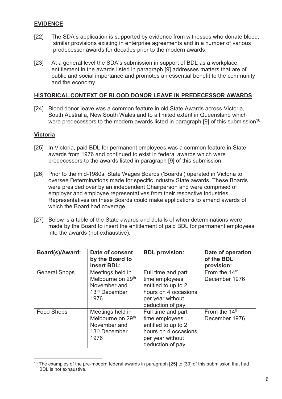#### **EVIDENCE**

- [22] The SDA's application is supported by evidence from witnesses who donate blood; similar provisions existing in enterprise agreements and in a number of various predecessor awards for decades prior to the modern awards.
- [23] At a general level the SDA's submission in support of BDL as a workplace entitlement in the awards listed in paragraph [9] addresses matters that are of public and social importance and promotes an essential benefit to the community and the economy.

#### **HISTORICAL CONTEXT OF BLOOD DONOR LEAVE IN PREDECESSOR AWARDS**

[24] Blood donor leave was a common feature in old State Awards across Victoria, South Australia, New South Wales and to a limited extent in Queensland which were predecessors to the modern awards listed in paragraph [9] of this submission<sup>16</sup>.

#### **Victoria**

- [25] In Victoria, paid BDL for permanent employees was a common feature in State awards from 1976 and continued to exist in federal awards which were predecessors to the awards listed in paragraph [9] of this submission.
- [26] Prior to the mid-1980s, State Wages Boards ('Boards') operated in Victoria to oversee Determinations made for specific industry State awards. These Boards were presided over by an independent Chairperson and were comprised of employer and employee representatives from their respective industries. Representatives on these Boards could make applications to amend awards of which the Board had coverage.
- [27] Below is a table of the State awards and details of when determinations were made by the Board to insert the entitlement of paid BDL for permanent employees into the awards (not exhaustive).

| Board(s)/Award:      | Date of consent<br>by the Board to<br>insert BDL:                                                      | <b>BDL</b> provision:                                                                                                       | Date of operation<br>of the BDL<br>provision: |
|----------------------|--------------------------------------------------------------------------------------------------------|-----------------------------------------------------------------------------------------------------------------------------|-----------------------------------------------|
| <b>General Shops</b> | Meetings held in<br>Melbourne on 29 <sup>th</sup><br>November and<br>13 <sup>th</sup> December<br>1976 | Full time and part<br>time employees<br>entitled to up to 2<br>hours on 4 occasions<br>per year without<br>deduction of pay | From the 14 <sup>th</sup><br>December 1976    |
| <b>Food Shops</b>    | Meetings held in<br>Melbourne on 29 <sup>th</sup><br>November and<br>13 <sup>th</sup> December<br>1976 | Full time and part<br>time employees<br>entitled to up to 2<br>hours on 4 occasions<br>per year without<br>deduction of pay | From the 14 <sup>th</sup><br>December 1976    |

<sup>&</sup>lt;sup>16</sup> The examples of the pre-modern federal awards in paragraph [25] to [30] of this submission that had BDL is not exhaustive.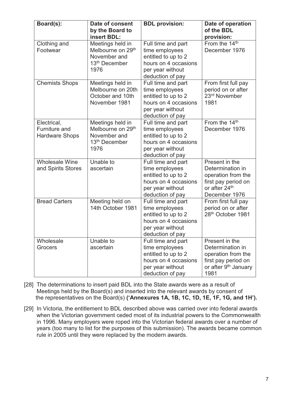| Board(s):                                             | Date of consent<br>by the Board to<br>insert BDL:                                                      | <b>BDL</b> provision:                                                                                                       | Date of operation<br>of the BDL<br>provision:                                                                               |
|-------------------------------------------------------|--------------------------------------------------------------------------------------------------------|-----------------------------------------------------------------------------------------------------------------------------|-----------------------------------------------------------------------------------------------------------------------------|
| Clothing and<br>Footwear                              | Meetings held in<br>Melbourne on 29 <sup>th</sup><br>November and<br>13 <sup>th</sup> December<br>1976 | Full time and part<br>time employees<br>entitled to up to 2<br>hours on 4 occasions<br>per year without<br>deduction of pay | From the 14 <sup>th</sup><br>December 1976                                                                                  |
| <b>Chemists Shops</b>                                 | Meetings held in<br>Melbourne on 20th<br>October and 10th<br>November 1981                             | Full time and part<br>time employees<br>entitled to up to 2<br>hours on 4 occasions<br>per year without<br>deduction of pay | From first full pay<br>period on or after<br>23rd November<br>1981                                                          |
| Electrical,<br>Furniture and<br><b>Hardware Shops</b> | Meetings held in<br>Melbourne on 29 <sup>th</sup><br>November and<br>13 <sup>th</sup> December<br>1976 | Full time and part<br>time employees<br>entitled to up to 2<br>hours on 4 occasions<br>per year without<br>deduction of pay | From the 14 <sup>th</sup><br>December 1976                                                                                  |
| <b>Wholesale Wine</b><br>and Spirits Stores           | Unable to<br>ascertain                                                                                 | Full time and part<br>time employees<br>entitled to up to 2<br>hours on 4 occasions<br>per year without<br>deduction of pay | Present in the<br>Determination in<br>operation from the<br>first pay period on<br>or after 24th<br>December 1976           |
| <b>Bread Carters</b>                                  | Meeting held on<br>14th October 1981                                                                   | Full time and part<br>time employees<br>entitled to up to 2<br>hours on 4 occasions<br>per year without<br>deduction of pay | From first full pay<br>period on or after<br>28th October 1981                                                              |
| Wholesale<br><b>Grocers</b>                           | Unable to<br>ascertain                                                                                 | Full time and part<br>time employees<br>entitled to up to 2<br>hours on 4 occasions<br>per year without<br>deduction of pay | Present in the<br>Determination in<br>operation from the<br>first pay period on<br>or after 9 <sup>th</sup> January<br>1981 |

- [28] The determinations to insert paid BDL into the State awards were as a result of Meetings held by the Board(s) and inserted into the relevant awards by consent of the representatives on the Board(s) **('Annexures 1A, 1B, 1C, 1D, 1E, 1F, 1G, and 1H').**
- [29] In Victoria, the entitlement to BDL described above was carried over into federal awards when the Victorian government ceded most of its industrial powers to the Commonwealth in 1996. Many employers were roped into the Victorian federal awards over a number of years (too many to list for the purposes of this submission). The awards became common rule in 2005 until they were replaced by the modern awards.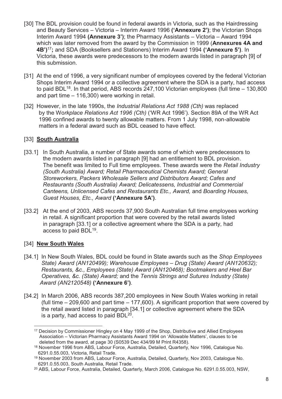- [30] The BDL provision could be found in federal awards in Victoria, such as the Hairdressing and Beauty Services – Victoria – Interim Award 1996 **('Annexure 2')**; the Victorian Shops Interim Award 1994 **(Annexure 3')**; the Pharmacy Assistants – Victoria – Award 1994 which was later removed from the award by the Commission in 1999 (**Annexures 4A and 4B')**<sup>17</sup>**;** and SDA (Booksellers and Stationers) Interim Award 1994 **('Annexure 5')**. In Victoria, these awards were predecessors to the modern awards listed in paragraph [9] of this submission.
- [31] At the end of 1996, a very significant number of employees covered by the federal Victorian Shops Interim Award 1994 or a collective agreement where the SDA is a party, had access to paid BDL $18$ . In that period, ABS records 247,100 Victorian employees (full time  $-130,800$ and part time – 116,300) were working in retail.
- [32] However, in the late 1990s, the *Industrial Relations Act 1988 (Cth)* was replaced by the Wo*rkplace Relations Act 1996 (Cth)* ('WR Act 1996')*.* Section 89A of the WR Act 1996 confined awards to twenty allowable matters. From 1 July 1998, non-allowable matters in a federal award such as BDL ceased to have effect.

### [33] **South Australia**

- [33.1] In South Australia, a number of State awards some of which were predecessors to the modern awards listed in paragraph [9] had an entitlement to BDL provision. The benefit was limited to Full time employees. These awards were the *Retail Industry (South Australia) Award; Retail Pharmaceutical Chemists Award; General Storeworkers, Packers Wholesale Sellers and Distributors Award; Cafes and Restaurants (South Australia) Award; Delicatessens, Industrial and Commercial Canteens, Unlicensed Cafes and Restaurants Etc., Award,* and *Boarding Houses, Guest Houses, Etc., Award* **('Annexure 5A')**.
- [33.2] At the end of 2003, ABS records 37,900 South Australian full time employees working in retail. A significant proportion that were covered by the retail awards listed in paragraph [33.1] or a collective agreement where the SDA is a party, had access to paid BDL19.

### [34] **New South Wales**

- [34.1] In New South Wales, BDL could be found in State awards such as the *Shop Employees State) Award (AN120499); Warehouse Employees – Drug (State) Award (AN120632); Restaurants, &c., Employees (State) Award (AN120468); Bootmakers and Heel Bar Operatives, &c. (State) Award;* and the *Tennis Strings and Sutures Industry (State) Award (AN2120548)* **('Annexure 6')**.
- [34.2] In March 2006, ABS records 387,200 employees in New South Wales working in retail (full time – 209,600 and part time – 177,600). A significant proportion that were covered by the retail award listed in paragraph [34.1] or collective agreement where the SDA is a party, had access to paid  $BDL<sup>20</sup>$ .

 $\overline{a}$ <sup>17</sup> Decision by Commissioner Hingley on 4 May 1999 of the Shop, Distributive and Allied Employees Association – Victorian Pharmacy Assistants Award 1994 on 'Allowable Matters', clauses to be deleted from the award, at page 30 (S0539 Dec 434/99 M Print R4358).

<sup>18</sup> November 1996 from ABS, Labour Force, Australia, Detailed, Quarterly, Nov 1996, Catalogue No. 6291.0.55.003, Victoria, Retail Trade.

<sup>19</sup> November 2003 from ABS, Labour Force, Australia, Detailed, Quarterly, Nov 2003, Catalogue No. 6291.0.55.003, South Australia, Retail Trade.

<sup>20</sup> ABS, Labour Force, Australia, Detailed, Quarterly, March 2006, Catalogue No. 6291.0.55.003, NSW,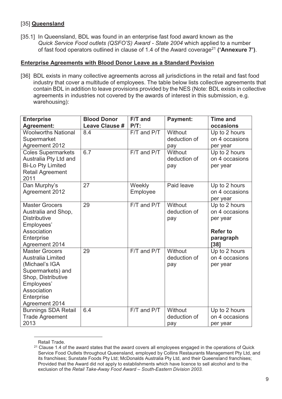### [35] **Queensland**

[35.1] In Queensland, BDL was found in an enterprise fast food award known as the *Quick Service Food outlets (QSFO'S) Award - State 2004* which applied to a number of fast food operators outlined in clause of 1.4 of the Award coverage21 **('Annexure 7')**.

#### **Enterprise Agreements with Blood Donor Leave as a Standard Povision**

[36] BDL exists in many collective agreements across all jurisdictions in the retail and fast food industry that cover a multitude of employees. The table below lists collective agreements that contain BDL in addition to leave provisions provided by the NES (Note: BDL exists in collective agreements in industries not covered by the awards of interest in this submission, e.g. warehousing):

| <b>Enterprise</b>               | <b>Blood Donor</b>    | F/T and         | <b>Payment:</b> | <b>Time and</b>   |
|---------------------------------|-----------------------|-----------------|-----------------|-------------------|
| <b>Agreement:</b>               | <b>Leave Clause #</b> | $P/T$ :         |                 | occasions         |
| <b>Woolworths National</b>      | 8.4                   | F/T and P/T     | Without         | Up to 2 hours     |
| Supermarket                     |                       |                 | deduction of    | on 4 occasions    |
| <b>Agreement 2012</b>           |                       |                 | pay             | per year          |
| <b>Coles Supermarkets</b>       | 6.7                   | F/T and P/T     | Without         | Up to 2 hours     |
| Australia Pty Ltd and           |                       |                 | deduction of    | on 4 occasions    |
| <b>Bi-Lo Pty Limited</b>        |                       |                 | pay             | per year          |
| <b>Retail Agreement</b><br>2011 |                       |                 |                 |                   |
| Dan Murphy's                    | 27                    | Weekly          | Paid leave      | Up to 2 hours     |
| <b>Agreement 2012</b>           |                       | Employee        |                 | on 4 occasions    |
|                                 |                       |                 |                 | per year          |
| <b>Master Grocers</b>           | 29                    | F/T and P/T     | Without         | Up to 2 hours     |
| Australia and Shop,             |                       |                 | deduction of    | on 4 occasions    |
| <b>Distributive</b>             |                       |                 | pay             | per year          |
| Employees'<br>Association       |                       |                 |                 | <b>Refer to</b>   |
|                                 |                       |                 |                 |                   |
| Enterprise<br>Agreement 2014    |                       |                 |                 | paragraph<br>[38] |
| <b>Master Grocers</b>           | 29                    | $F/T$ and $P/T$ | Without         | Up to 2 hours     |
| <b>Australia Limited</b>        |                       |                 | deduction of    | on 4 occasions    |
| (Michael's IGA                  |                       |                 | pay             | per year          |
| Supermarkets) and               |                       |                 |                 |                   |
| Shop, Distributive              |                       |                 |                 |                   |
| Employees'                      |                       |                 |                 |                   |
| Association                     |                       |                 |                 |                   |
| Enterprise                      |                       |                 |                 |                   |
| Agreement 2014                  |                       |                 |                 |                   |
| <b>Bunnings SDA Retail</b>      | 6.4                   | F/T and P/T     | Without         | Up to 2 hours     |
| <b>Trade Agreement</b>          |                       |                 | deduction of    | on 4 occasions    |
| 2013                            |                       |                 | pay             | per year          |

Retail Trade.

<sup>&</sup>lt;sup>21</sup> Clause 1.4 of the award states that the award covers all employees engaged in the operations of Quick Service Food Outlets throughout Queensland, employed by Collins Restaurants Management Pty Ltd, and its franchises; Sunstate Foods Pty Ltd; McDonalds Australia Pty Ltd, and their Queensland franchises; Provided that the Award did not apply to establishments which have licence to sell alcohol and to the exclusion of the *Retail Take-Away Food Award – South-Eastern Division 2003.*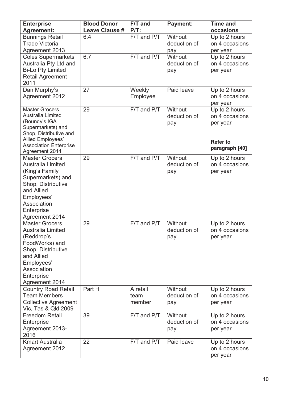| <b>Enterprise</b><br><b>Agreement:</b>                                                                                                                                                    | <b>Blood Donor</b><br><b>Leave Clause #</b> | F/T and<br>$P/T$ :         | <b>Payment:</b>                | <b>Time and</b><br>occasions                                                     |
|-------------------------------------------------------------------------------------------------------------------------------------------------------------------------------------------|---------------------------------------------|----------------------------|--------------------------------|----------------------------------------------------------------------------------|
| <b>Bunnings Retail</b><br><b>Trade Victoria</b><br>Agreement 2013                                                                                                                         | 6.4                                         | $F/T$ and $P/T$            | Without<br>deduction of<br>pay | Up to 2 hours<br>on 4 occasions<br>per year                                      |
| <b>Coles Supermarkets</b><br>Australia Pty Ltd and<br><b>Bi-Lo Pty Limited</b><br><b>Retail Agreement</b><br>2011                                                                         | 6.7                                         | F/T and P/T                | Without<br>deduction of<br>pay | Up to 2 hours<br>on 4 occasions<br>per year                                      |
| Dan Murphy's<br><b>Agreement 2012</b>                                                                                                                                                     | 27                                          | Weekly<br>Employee         | Paid leave                     | Up to 2 hours<br>on 4 occasions<br>per year                                      |
| <b>Master Grocers</b><br>Australia Limited<br>(Boundy's IGA<br>Supermarkets) and<br>Shop, Distributive and<br>Allied Employees'<br><b>Association Enterprise</b><br>Agreement 2014        | 29                                          | F/T and P/T                | Without<br>deduction of<br>pay | Up to 2 hours<br>on 4 occasions<br>per year<br><b>Refer to</b><br>paragraph [40] |
| <b>Master Grocers</b><br><b>Australia Limited</b><br>(King's Family<br>Supermarkets) and<br>Shop, Distributive<br>and Allied<br>Employees'<br>Association<br>Enterprise<br>Agreement 2014 | 29                                          | F/T and P/T                | Without<br>deduction of<br>pay | Up to 2 hours<br>on 4 occasions<br>per year                                      |
| <b>Master Grocers</b><br>Australia Limited<br>(Reddrop's<br>FoodWorks) and<br>Shop, Distributive<br>and Allied<br>Employees'<br><b>Association</b><br>Enterprise<br>Agreement 2014        | 29                                          | F/T and P/T                | Without<br>deduction of<br>pay | Up to 2 hours<br>on 4 occasions<br>per year                                      |
| <b>Country Road Retail</b><br><b>Team Members</b><br><b>Collective Agreement</b><br>Vic, Tas & Qld 2009                                                                                   | Part H                                      | A retail<br>team<br>member | Without<br>deduction of<br>pay | Up to 2 hours<br>on 4 occasions<br>per year                                      |
| <b>Freedom Retail</b><br>Enterprise<br>Agreement 2013-<br>2016                                                                                                                            | 39                                          | F/T and P/T                | Without<br>deduction of<br>pay | Up to 2 hours<br>on 4 occasions<br>per year                                      |
| <b>Kmart Australia</b><br><b>Agreement 2012</b>                                                                                                                                           | 22                                          | $F/T$ and $P/T$            | Paid leave                     | Up to 2 hours<br>on 4 occasions<br>per year                                      |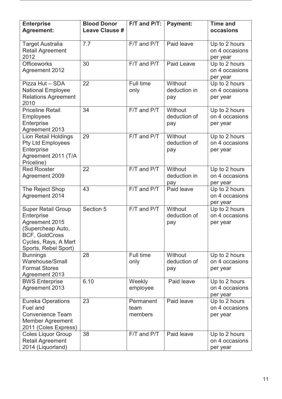| <b>Enterprise</b><br><b>Agreement:</b>                                                                                                                  | <b>Blood Donor</b><br><b>Leave Clause #</b> | F/T and P/T:                 | <b>Payment:</b>                | <b>Time and</b><br>occasions                |
|---------------------------------------------------------------------------------------------------------------------------------------------------------|---------------------------------------------|------------------------------|--------------------------------|---------------------------------------------|
| <b>Target Australia</b><br><b>Retail Agreement</b><br>2012                                                                                              | 7.7                                         | F/T and P/T                  | Paid leave                     | Up to 2 hours<br>on 4 occasions<br>per year |
| <b>Officeworks</b><br><b>Agreement 2012</b>                                                                                                             | 30                                          | F/T and P/T                  | <b>Paid Leave</b>              | Up to 2 hours<br>on 4 occasions<br>per year |
| Pizza Hut - SDA<br><b>National Employee</b><br><b>Relations Agreement</b><br>2010                                                                       | 22                                          | Full time<br>only            | Without<br>deduction in<br>pay | Up to 2 hours<br>on 4 occasions<br>per year |
| <b>Priceline Retail</b><br><b>Employees</b><br>Enterprise<br>Agreement 2013                                                                             | 34                                          | F/T and P/T                  | Without<br>deduction of<br>pay | Up to 2 hours<br>on 4 occasions<br>per year |
| <b>Lion Retail Holdings</b><br><b>Pty Ltd Employees</b><br>Enterprise<br>Agreement 2011 (T/A<br>Priceline)                                              | 29                                          | F/T and P/T                  | Without<br>deduction of<br>pay | Up to 2 hours<br>on 4 occasions<br>per year |
| <b>Red Rooster</b><br>Agreement 2009                                                                                                                    | 22                                          | F/T and P/T                  | Without<br>deduction in<br>pay | Up to 2 hours<br>on 4 occasions<br>per year |
| The Reject Shop<br>Agreement 2014                                                                                                                       | 43                                          | F/T and P/T                  | Paid leave                     | Up to 2 hours<br>on 4 occasions<br>per year |
| <b>Super Retail Group</b><br>Enterprise<br>Agreement 2015<br>(Supercheap Auto,<br><b>BCF, GoldCross</b><br>Cycles, Rays, A Mart<br>Sports, Rebel Sport) | Section 5                                   | F/T and P/T                  | Without<br>deduction of<br>pay | Up to 2 hours<br>on 4 occasions<br>per year |
| <b>Bunnings</b><br>Warehouse/Small<br><b>Format Stores</b><br>Agreement 2013                                                                            | 28                                          | Full time<br>only            | Without<br>deduction of<br>pay | Up to 2 hours<br>on 4 occasions<br>per year |
| <b>BWS Enterprise</b><br>Agreement 2013                                                                                                                 | 6.10                                        | Weekly<br>employee           | Paid leave                     | Up to 2 hours<br>on 4 occasions<br>per year |
| <b>Eureka Operations</b><br>Fuel and<br><b>Convenience Team</b><br>Member Agreement<br>2011 (Coles Express)                                             | 23                                          | Permanent<br>team<br>members | Paid leave                     | Up to 2 hours<br>on 4 occasions<br>per year |
| <b>Coles Liquor Group</b><br><b>Retail Agreement</b><br>2014 (Liquorland)                                                                               | 38                                          | F/T and P/T                  | Paid leave                     | Up to 2 hours<br>on 4 occasions<br>per year |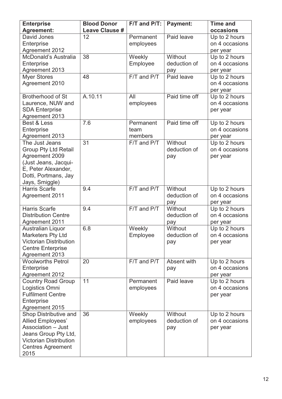| <b>Enterprise</b>                                  | <b>Blood Donor</b>    | F/T and P/T: | <b>Payment:</b> | <b>Time and</b>                 |
|----------------------------------------------------|-----------------------|--------------|-----------------|---------------------------------|
| <b>Agreement:</b>                                  | <b>Leave Clause #</b> |              |                 | occasions                       |
| David Jones                                        | 12                    | Permanent    | Paid leave      | Up to 2 hours                   |
| Enterprise                                         |                       | employees    |                 | on 4 occasions                  |
| <b>Agreement 2012</b>                              |                       |              |                 | per year                        |
| McDonald's Australia                               | 38                    | Weekly       | Without         | Up to 2 hours                   |
| Enterprise                                         |                       | Employee     | deduction of    | on 4 occasions                  |
| Agreement 2013                                     |                       |              | pay             | per year                        |
| <b>Myer Stores</b>                                 | 48                    | F/T and P/T  | Paid leave      | Up to 2 hours<br>on 4 occasions |
| Agreement 2010                                     |                       |              |                 |                                 |
| <b>Brotherhood of St</b>                           | A.10.11               | All          | Paid time off   | per year<br>Up to 2 hours       |
| Laurence, NUW and                                  |                       | employees    |                 | on 4 occasions                  |
| <b>SDA Enterprise</b>                              |                       |              |                 | per year                        |
| Agreement 2013                                     |                       |              |                 |                                 |
| Best & Less                                        | 7.6                   | Permanent    | Paid time off   | Up to 2 hours                   |
| Enterprise                                         |                       | team         |                 | on 4 occasions                  |
| Agreement 2013                                     |                       | members      |                 | per year                        |
| The Just Jeans                                     | 31                    | F/T and P/T  | Without         | Up to 2 hours                   |
| <b>Group Pty Ltd Retail</b>                        |                       |              | deduction of    | on 4 occasions                  |
| Agreement 2009                                     |                       |              | pay             | per year                        |
| (Just Jeans, Jacqui-                               |                       |              |                 |                                 |
| E, Peter Alexander,                                |                       |              |                 |                                 |
| Dotti, Portmans, Jay                               |                       |              |                 |                                 |
| Jays, Smiggle)                                     |                       |              |                 |                                 |
| Harris Scarfe                                      | 9.4                   | F/T and P/T  | Without         | Up to 2 hours                   |
| <b>Agreement 2011</b>                              |                       |              | deduction of    | on 4 occasions                  |
|                                                    |                       |              | pay             | per year                        |
| <b>Harris Scarfe</b><br><b>Distribution Centre</b> | 9.4                   | F/T and P/T  | Without         | Up to 2 hours                   |
|                                                    |                       |              | deduction of    | on 4 occasions                  |
| <b>Agreement 2011</b><br><b>Australian Liquor</b>  | 6.8                   | Weekly       | pay<br>Without  | per year<br>Up to 2 hours       |
| <b>Marketers Pty Ltd</b>                           |                       | Employee     | deduction of    | on 4 occasions                  |
| <b>Victorian Distribution</b>                      |                       |              | pay             | per year                        |
| <b>Centre Enterprise</b>                           |                       |              |                 |                                 |
| Agreement 2013                                     |                       |              |                 |                                 |
| <b>Woolworths Petrol</b>                           | 20                    | F/T and P/T  | Absent with     | Up to 2 hours                   |
| Enterprise                                         |                       |              | pay             | on 4 occasions                  |
| Agreement 2012                                     |                       |              |                 | per year                        |
| <b>Country Road Group</b>                          | 11                    | Permanent    | Paid leave      | Up to 2 hours                   |
| Logistics Omni                                     |                       | employees    |                 | on 4 occasions                  |
| <b>Fulfilment Centre</b>                           |                       |              |                 | per year                        |
| Enterprise                                         |                       |              |                 |                                 |
| Agreement 2015                                     |                       |              |                 |                                 |
| Shop Distributive and                              | 36                    | Weekly       | Without         | Up to 2 hours                   |
| <b>Allied Employees'</b>                           |                       | employees    | deduction of    | on 4 occasions                  |
| Association - Just                                 |                       |              | pay             | per year                        |
| Jeans Group Pty Ltd,                               |                       |              |                 |                                 |
| <b>Victorian Distribution</b>                      |                       |              |                 |                                 |
| <b>Centres Agreement</b>                           |                       |              |                 |                                 |
| 2015                                               |                       |              |                 |                                 |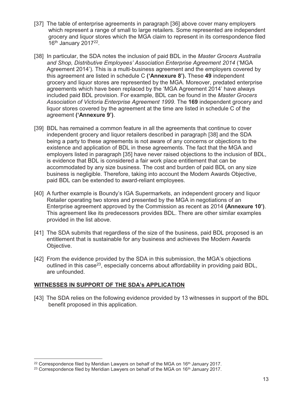- [37] The table of enterprise agreements in paragraph [36] above cover many employers which represent a range of small to large retailers. Some represented are independent grocery and liquor stores which the MGA claim to represent in its correspondence filed  $16<sup>th</sup>$  January 2017<sup>22</sup>.
- [38] In particular, the SDA notes the inclusion of paid BDL in the *Master Grocers Australia and Shop, Distributive Employees' Association Enterprise Agreement 2014* ('MGA Agreement 2014')*.* This is a multi-business agreement and the employers covered by this agreement are listed in schedule C **('Annexure 8').** These **49** independent grocery and liquor stores are represented by the MGA. Moreover, predated enterprise agreements which have been replaced by the 'MGA Agreement 2014' have always included paid BDL provision. For example, BDL can be found in the *Master Grocers Association of Victoria Enterprise Agreement 1999*. The **169** independent grocery and liquor stores covered by the agreement at the time are listed in schedule C of the agreement **('Annexure 9')**.
- [39] BDL has remained a common feature in all the agreements that continue to cover independent grocery and liquor retailers described in paragraph [38] and the SDA being a party to these agreements is not aware of any concerns or objections to the existence and application of BDL in these agreements. The fact that the MGA and employers listed in paragraph [35] have never raised objections to the inclusion of BDL, is evidence that BDL is considered a fair work place entitlement that can be accommodated by any size business. The cost and burden of paid BDL on any size business is negligible. Therefore, taking into account the Modern Awards Objective, paid BDL can be extended to award-reliant employees.
- [40] A further example is Boundy's IGA Supermarkets, an independent grocery and liquor Retailer operating two stores and presented by the MGA in negotiations of an Enterprise agreement approved by the Commission as recent as 2014 **(Annexure 10')**. This agreement like its predecessors provides BDL. There are other similar examples provided in the list above.
- [41] The SDA submits that regardless of the size of the business, paid BDL proposed is an entitlement that is sustainable for any business and achieves the Modern Awards Objective.
- [42] From the evidence provided by the SDA in this submission, the MGA's objections outlined in this case<sup>23</sup>, especially concerns about affordability in providing paid BDL, are unfounded.

### **WITNESSES IN SUPPORT OF THE SDA's APPLICATION**

 $\overline{a}$ 

[43] The SDA relies on the following evidence provided by 13 witnesses in support of the BDL benefit proposed in this application.

<sup>&</sup>lt;sup>22</sup> Correspondence filed by Meridian Lawyers on behalf of the MGA on 16<sup>th</sup> January 2017.

<sup>&</sup>lt;sup>23</sup> Correspondence filed by Meridian Lawyers on behalf of the MGA on 16<sup>th</sup> January 2017.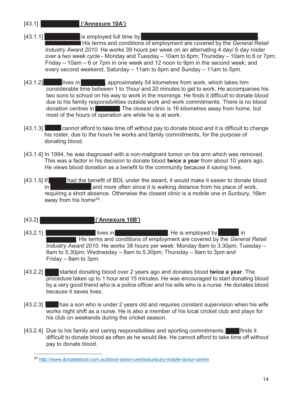# [43.1] **Trevor Zylstra ('Annexure 10A')**

 $[43.1.1]$  Trevor Zylstra is employed full time by  $\blacksquare$ 

**CBD, His terms and conditions of employment are covered by the** *General Retail Industry Award 2010.* He works 39 hours per week on an alternating 4 day/ 6 day roster over a two week cycle - Monday and Tuesday – 10am to 6pm; Thursday – 10am to 6 or 7pm; Friday – 10am – 6 or 7pm in one week and 12 noon to 9pm in the second week; and every second weekend, Saturday – 11am to 6pm and Sunday – 11am to 5pm.

- [43.1.2] Treview lives in Gisborne, approximately 54 kilometres from work, which takes him considerable time between 1 to 1hour and 20 minutes to get to work. He accompanies his two sons to school on his way to work in the mornings. He finds it difficult to donate blood due to his family responsibilities outside work and work commitments. There is no blood donation centres in **Gigability** The closest clinic is 16 kilometres away from home, but most of the hours of operation are while he is at work.
- $[43.1.3]$  Cannot afford to take time off without pay to donate blood and it is difficult to change his roster, due to the hours he works and family commitments, for the purpose of donating blood.
- [43.1.4] In 1994, he was diagnosed with a non-malignant tumor on his arm which was removed. This was a factor in his decision to donate blood **twice a year** from about 10 years ago. He views blood donation as a benefit to the community because it saving lives.
- [43.1.5] If **Trevor had the benefit of BDL under the award, it would make it easier to donate blood** in Melbourne CBD and more often since it is walking distance from his place of work, requiring a short absence. Otherwise the closest clinic is a mobile one in Sunbury, 16km away from his home<sup>24</sup>.
- [43.2] **Glen Michael Smith ('Annexure 10B')**
- $[43.2.1]$  Glenn Michael Smith lives in  $\blacksquare$  Shepparton, Shepparton, Victoria. He is employed by  $\blacksquare$ I. His terms and conditions of employment are covered by the *General Retail Industry Award 2010.* He works 38 hours per week: Monday 8am to 3.30pm; Tuesday – 8am to 5.30pm; Wednesday – 8am to 5.30pm; Thursday – 8am to 3pm and Friday – 8am to 3pm.
- [43.2.2] started donating blood over 2 years ago and donates blood **twice a year**. The procedure takes up to 1 hour and 15 minutes. He was encouraged to start donating blood by a very good friend who is a police officer and his wife who is a nurse. He donates blood because it saves lives.
- [43.2.3] has a son who is under 2 years old and requires constant supervision when his wife works night shift as a nurse. He is also a member of his local cricket club and plays for his club on weekends during the cricket season.
- [43.2.4] Due to his family and caring responsibilities and sporting commitments, in the finds it difficult to donate blood as often as he would like. He cannot afford to take time off without pay to donate blood.

 $\overline{a}$ <sup>24</sup> http://www.donateblood.com.au/blood-donor-centre/sunbury-mobile-donor-centre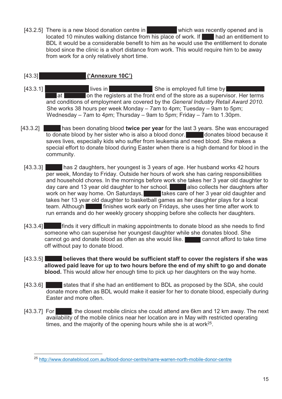[43.2.5] There is a new blood donation centre in  $\blacksquare$  which was recently opened and is located 10 minutes walking distance from his place of work. If  $\Box$  had an entitlement to BDL it would be a considerable benefit to him as he would use the entitlement to donate blood since the clinic is a short distance from work. This would require him to be away from work for a only relatively short time.

# [43.3] **Nicolas Contract Contract ('Annexure 10C')**

- [43.3.1] Nicole Elmer Joy lives in Berger She is employed full time by Ritchies Superintendent Superintendent Superintendent Superintendent Superintendent Superintendent Superintendent Superintendent Superintendent Superin at **Emerge at all on the registers at the front end of the store as a supervisor. Her terms**  and conditions of employment are covered by the *General Industry Retail Award 2010.* She works 38 hours per week Monday – 7am to 4pm; Tuesday – 9am to 5pm; Wednesday – 7am to 4pm; Thursday – 9am to 5pm; Friday – 7am to 1.30pm.
- [43.3.2] **Nicolar Licole has been donating blood twice per year** for the last 3 years. She was encouraged to donate blood by her sister who is also a blood donor. Nicola donates blood because it saves lives, especially kids who suffer from leukemia and need blood. She makes a special effort to donate blood during Easter when there is a high demand for blood in the community.
	- [43.3.3] has 2 daughters, her youngest is 3 years of age. Her husband works 42 hours per week, Monday to Friday. Outside her hours of work she has caring responsibilities and household chores. In the mornings before work she takes her 3 year old daughter to day care and 13 year old daughter to her school. **Nicolar also collects her daughters after** work on her way home. On Saturdays, Nicole takes care of her 3 year old daughter and takes her 13 year old daughter to basketball games as her daughter plays for a local team. Although **Nicola finishes work early on Fridays**, she uses her time after work to run errands and do her weekly grocery shopping before she collects her daughters.
	- [43.3.4] finds it very difficult in making appointments to donate blood as she needs to find someone who can supervise her youngest daughter while she donates blood. She cannot go and donate blood as often as she would like. **Nicolar cannot afford to take time** off without pay to donate blood.
	- [43.3.5] **Nicolate believes that there would be sufficient staff to cover the registers if she was allowed paid leave for up to two hours before the end of my shift to go and donate blood.** This would allow her enough time to pick up her daughters on the way home.
	- [43.3.6] states that if she had an entitlement to BDL as proposed by the SDA, she could donate more often as BDL would make it easier for her to donate blood, especially during Easter and more often.
	- [43.3.7] For  $\blacksquare$ , the closest mobile clinics she could attend are 6km and 12 km away. The next availability of the mobile clinics near her location are in May with restricted operating times, and the majority of the opening hours while she is at work<sup>25</sup>.

<sup>25</sup> http://www.donateblood.com.au/blood-donor-centre/narre-warren-north-mobile-donor-centre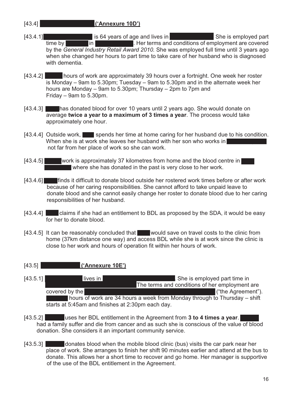- [43.4] **Julie Kay Dingeldei ('Annexure 10D')**
- [43.4.1] **Julie Kay Dingeldei is 64 years of age and lives in** Lakewood, NSW. She is employed part time by **Spotlight in Port Mac**, Her terms and conditions of employment are covered by the *General Industry Retail Award 2010.* She was employed full time until 3 years ago when she changed her hours to part time to take care of her husband who is diagnosed with dementia.
- [43.4.2] Indurs of work are approximately 39 hours over a fortnight. One week her roster is Monday – 9am to 5.30pm; Tuesday – 9am to 5.30pm and in the alternate week her hours are Monday – 9am to 5.30pm; Thursday – 2pm to 7pm and Friday – 9am to 5.30pm.
- [43.4.3] **Julie has donated blood for over 10 years until 2 years ago. She would donate on**  average **twice a year to a maximum of 3 times a year**. The process would take approximately one hour.
- [43.4.4] Outside work, spends her time at home caring for her husband due to his condition. When she is at work she leaves her husband with her son who works in not far from her place of work so she can work.
- [43.4.5] work is approximately 37 kilometres from home and the blood centre in where she has donated in the past is very close to her work.
- [43.4.6]  $\blacksquare$  finds it difficult to donate blood outside her rostered work times before or after work because of her caring responsibilities. She cannot afford to take unpaid leave to donate blood and she cannot easily change her roster to donate blood due to her caring responsibilities of her husband.
- $[43.4.4]$  claims if she had an entitlement to BDL as proposed by the SDA, it would be easy for her to donate blood.
- [43.4.5] It can be reasonably concluded that  $\blacksquare$  would save on travel costs to the clinic from home (37km distance one way) and access BDL while she is at work since the clinic is close to her work and hours of operation fit within her hours of work.

### [43.5] **Stacey Hunter ('Annexure 10E')**

- [43.5.1] Iives in Alexandra Hills, Che is employed part time in The terms and conditions of her employment are covered by the Woolworths National Supermarket Agreement 2012 ("the Agreement").  $\blacksquare$  hours of work are 34 hours a week from Monday through to Thursday – shift starts at 5:45am and finishes at 2:30pm each day.
- [43.5.2] uses her BDL entitlement in the Agreement from **3 to 4 times a year**. had a family suffer and die from cancer and as such she is conscious of the value of blood donation. She considers it an important community service.
- $[43.5.3]$  donates blood when the mobile blood clinic (bus) visits the car park near her place of work. She arranges to finish her shift 90 minutes earlier and attend at the bus to donate. This allows her a short time to recover and go home. Her manager is supportive of the use of the BDL entitlement in the Agreement.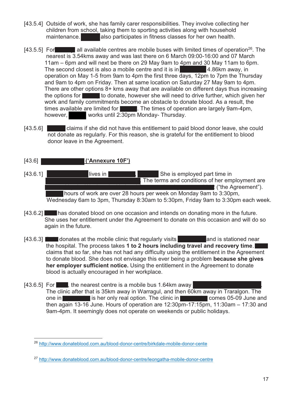- [43.5.4] Outside of work, she has family carer responsibilities. They involve collecting her children from school, taking them to sporting activities along with household maintenance. **Stacke also participates in fitness classes for her own health.**
- [43.5.5] For State all available centres are mobile buses with limited times of operation<sup>26</sup>. The nearest is 3.54kms away and was last there on 6 March 09:00-16:00 and 07 March 11am – 6pm and will next be there on 29 May 9am to 4pm and 30 May 11am to 6pm. The second closest is also a mobile centre and it is in  $\blacksquare$  4.86km away, in operation on May 1-5 from 9am to 4pm the first three days, 12pm to 7pm the Thursday and 9am to 4pm on Friday. Then at same location on Saturday 27 May 9am to 4pm. There are other options 8+ kms away that are available on different days thus increasing the options for state of to donate, however she will need to drive further, which given her work and family commitments become an obstacle to donate blood. As a result, the times available are limited for  $\blacksquare$ . The times of operation are largely 9am-4pm, however, works until 2:30pm Monday- Thursday.
- [43.5.6] Claims if she did not have this entitlement to paid blood donor leave, she could not donate as regularly. For this reason, she is grateful for the entitlement to blood donor leave in the Agreement.
- [43.6] **Data Alice Alice Alice Alice Alice Alice Alice Alice Alice Allen ('Annexure 10F')**
- [43.6.1] Dale Alice Alice Allen lives in Leongatha, Victoria. She is employed part time in The terms and conditions of her employment are **covered by the Agreement").** ("the Agreement"). hours of work are over 28 hours per week on Monday 9am to 3:30pm, Wednesday 6am to 3pm, Thursday 8:30am to 5:30pm, Friday 9am to 3:30pm each week.
- [43.6.2] has donated blood on one occasion and intends on donating more in the future. She uses her entitlement under the Agreement to donate on this occasion and will do so again in the future.
- [43.6.3] donates at the mobile clinic that regularly visits **Leongatha and is stationed near** the hospital. The process takes 1 to 2 hours including travel and recovery time. claims that so far, she has not had any difficulty using the entitlement in the Agreement to donate blood. She does not envisage this ever being a problem **because she gives her employer sufficient notice.** Using the entitlement in the Agreement to donate blood is actually encouraged in her workplace.
- [43.6.5] For  $\Box$ , the nearest centre is a mobile bus 1.64km away The clinic after that is 35km away in Warragul, and then 60km away in Traralgon. The one in **Leongatha is is her only real option. The clinic in Leongatha comes 05-09 June and**  then again 13-16 June. Hours of operation are 12:30pm-17:15pm, 11:30am – 17:30 and 9am-4pm. It seemingly does not operate on weekends or public holidays.

 $\overline{a}$ <sup>26</sup> http://www.donateblood.com.au/blood-donor-centre/birkdale-mobile-donor-cente

<sup>27</sup> http://www.donateblood.com.au/blood-donor-centre/leongatha-mobile-donor-centre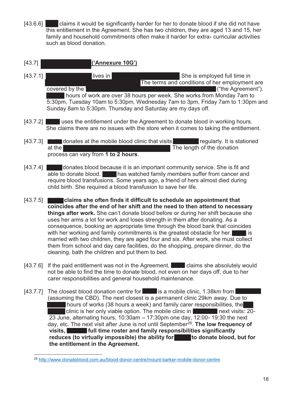$[43.6.6]$  dalms it would be significantly harder for her to donate blood if she did not have this entitlement in the Agreement. She has two children, they are aged 13 and 15, her family and household commitments often make it harder for extra- curricular activities such as blood donation.

## [43.7] **Jodie Anne Ewins ('Annexure 10G')**

- [43.7.1] **The Anne Ewing Structure Anne Ewing Structure Australia.** She is employed full time in The terms and conditions of her employment are covered by the Woolworths National Supermarket Agreement 2012 ("the Agreement"). I hours of work are over 38 hours per week. She works from Monday 7am to 5:30pm, Tuesday 10am to 5:30pm, Wednesday 7am to 3pm, Friday 7am to 1:30pm and Sunday 8am to 5:30pm. Thursday and Saturday are my days off.
- [43.7.2] uses the entitlement under the Agreement to donate blood in working hours. She claims there are no issues with the store when it comes to taking the entitlement.
- $[43.7.3]$  donates at the mobile blood clinic that visits  $\blacksquare$  regularly. It is stationed at the Bowling Club on Mann Street in Muslim Club on Mann Street in Mann Street in Muslim Club on Muslim Club process can vary from **1 to 2 hours**.
- [43.7.4] donates blood because it is an important community service. She is fit and able to donate blood. **John Blas** watched family members suffer from cancer and require blood transfusions. Some years ago, a friend of hers almost died during child birth. She required a blood transfusion to save her life.
- [43.7.5] **Journal Exclusion claims she often finds it difficult to schedule an appointment that coincides after the end of her shift and the need to then attend to necessary things after work.** She can't donate blood before or during her shift because she uses her arms a lot for work and loses strength in them after donating. As a consequence, booking an appropriate time through the blood bank that coincides with her working and family commitments is the greatest obstacle for her.  $\blacksquare$  is married with two children, they are aged four and six. After work, she must collect them from school and day care facilities, do the shopping, prepare dinner, do the cleaning, bath the children and put them to bed.
- [43.7.6] If the paid entitlement was not in the Agreement,  $\Box$  claims she absolutely would not be able to find the time to donate blood, not even on her days off, due to her carer responsibilities and general household maintenance.
- [43.7.7] The closest blood donation centre for  $\blacksquare$  is a mobile clinic, 1.38km from  $\blacksquare$  (assuming the CBD). The next closest is a permanent clinic 29km away. Due to I hours of works (38 hours a week) and family carer responsibilities, the Indian clinic is her only viable option. The mobile clinic in  $B$  clinic is her only viable option. The mobile clinic in  $B$  23 June, alternating hours, 10:30am – 17:30pm one day, 12:00- 19:30 the next day, etc. The next visit after June is not until September28. **The low frequency of**  visits, **Joseph Et all time roster and family responsibilities significantly** reduces (to virtually impossible) the ability for **Tomic to donate blood, but for the entitlement in the Agreement.**

 $\overline{a}$ <sup>28</sup> http://www.donateblood.com.au/blood-donor-centre/mount-barker-mobile-donor-centre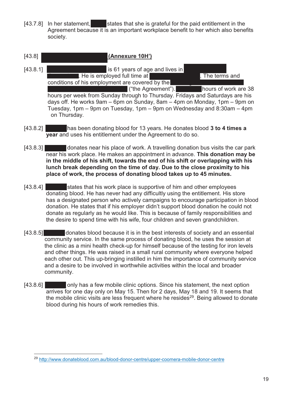- [43.7.8] In her statement, states that she is grateful for the paid entitlement in the Agreement because it is an important workplace benefit to her which also benefits society.
- [43.8] **Michael Patrick Driscoll (Annexure 10H')**   $[43.8.1]$  Michael Patrick Driscoll is 61 years of age and lives in **EXECUS AND EXECUSE ASSESSED.** He is employed full time at Bunnings, Oxenford. The terms and conditions of his employment are covered by the  $\blacksquare$  ("the Agreement").  $\blacksquare$  hours of work are 38 hours per week from Sunday through to Thursday. Fridays and Saturdays are his days off. He works 9am – 6pm on Sunday, 8am – 4pm on Monday, 1pm – 9pm on Tuesday, 1pm – 9pm on Tuesday, 1pm – 9pm on Wednesday and 8:30am – 4pm on Thursday.
- [43.8.2] **Michael has been donating blood for 13 years. He donates blood 3 to 4 times a year** and uses his entitlement under the Agreement to do so.
- [43.8.3] Michael donates near his place of work. A travelling donation bus visits the car park near his work place. He makes an appointment in advance. **This donation may be in the middle of his shift, towards the end of his shift or overlapping with his lunch break depending on the time of day. Due to the close proximity to his place of work, the process of donating blood takes up to 45 minutes.**
- [43.8.4] states that his work place is supportive of him and other employees donating blood. He has never had any difficultly using the entitlement. His store has a designated person who actively campaigns to encourage participation in blood donation. He states that if his employer didn't support blood donation he could not donate as regularly as he would like. This is because of family responsibilities and the desire to spend time with his wife, four children and seven grandchildren.
- [43.8.5] Monates blood because it is in the best interests of society and an essential community service. In the same process of donating blood, he uses the session at the clinic as a mini health check-up for himself because of the testing for iron levels and other things. He was raised in a small rural community where everyone helped each other out. This up-bringing instilled in him the importance of community service and a desire to be involved in worthwhile activities within the local and broader community.
- [43.8.6] only has a few mobile clinic options. Since his statement, the next option arrives for one day only on May 15. Then for 2 days, May 18 and 19. It seems that the mobile clinic visits are less frequent where he resides<sup>29</sup>. Being allowed to donate blood during his hours of work remedies this.

<sup>29</sup> http://www.donateblood.com.au/blood-donor-centre/upper-coomera-mobile-donor-centre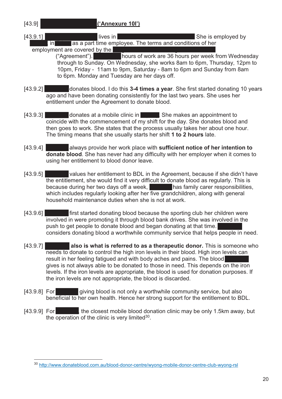[43.9] **Deborah Anne Allen ('Annexure 10I')** 

[43.9.1] Deborah Anne Allives in Watanobbi, New South Watanobbi, New South Wales. She is employed by  $\frac{1}{2}$  in  $\frac{1}{2}$  as a part time employee. The terms and conditions of her

employment are covered by the

 $\overline{a}$ 

ent are covered by the **Deborahism of work are 36 hours per week from Wednesday**  through to Sunday. On Wednesday, she works 8am to 6pm, Thursday, 12pm to 10pm, Friday - 11am to 9pm, Saturday - 8am to 6pm and Sunday from 8am to 6pm. Monday and Tuesday are her days off.

- [43.9.2] donates blood. I do this **3-4 times a year**. She first started donating 10 years ago and have been donating consistently for the last two years. She uses her entitlement under the Agreement to donate blood.
- [43.9.3] donates at a mobile clinic in She makes an appointment to coincide with the commencement of my shift for the day. She donates blood and then goes to work. She states that the process usually takes her about one hour. The timing means that she usually starts her shift **1 to 2 hours** late.
- [43.9.4] **Debive always provide her work place with sufficient notice of her intention to donate blood**. She has never had any difficulty with her employer when it comes to using her entitlement to blood donor leave.
- [43.9.5] values her entitlement to BDL in the Agreement, because if she didn't have the entitlement, she would find it very difficult to donate blood as regularly. This is because during her two days off a week, **Deborah has family carer responsibilities**, which includes regularly looking after her five grandchildren, along with general household maintenance duties when she is not at work.
- [43.9.6] **Debive first started donating blood because the sporting club her children were**  involved in were promoting it through blood bank drives. She was involved in the push to get people to donate blood and began donating at that time. considers donating blood a worthwhile community service that helps people in need.
- [43.9.7] **Deborah also is what is referred to as a therapeutic donor.** This is someone who needs to donate to control the high iron levels in their blood. High iron levels can result in her feeling fatigued and with body aches and pains. The blood gives is not always able to be donated to those in need. This depends on the iron levels. If the iron levels are appropriate, the blood is used for donation purposes. If the iron levels are not appropriate, the blood is discarded.
- $[43.9.8]$  For giving blood is not only a worthwhile community service, but also beneficial to her own health. Hence her strong support for the entitlement to BDL.
- [43.9.9] For  $\Box$  the closest mobile blood donation clinic may be only 1.5km away, but the operation of the clinic is very limited<sup>30</sup>.

<sup>30</sup> http://www.donateblood.com.au/blood-donor-centre/wyong-mobile-donor-centre-club-wyong-rsl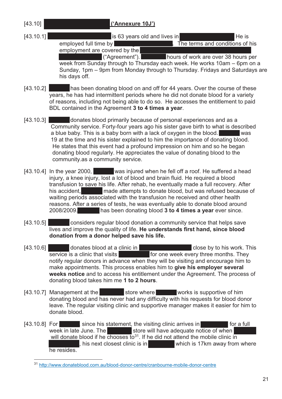$\overline{a}$ 

### [43.10] **Michael David McErlane ('Annexure 10J')**

 $[43.10.1]$  Michael David McCranbourne,  $\overline{a}$  is 63 years old and lives in Cranbourne, Victoria. He is employed full time by Bunnings, Cranbourne. The terms and conditions of his

employment are covered by the

 $($ "Agreement").  $\blacksquare$  hours of work are over 38 hours per week from Sunday through to Thursday each week. He works 10am – 6pm on a Sunday, 1pm – 9pm from Monday through to Thursday. Fridays and Saturdays are his days off.

[43.10.2] has been donating blood on and off for 44 years. Over the course of these years, he has had intermittent periods where he did not donate blood for a variety of reasons, including not being able to do so. He accesses the entitlement to paid BDL contained in the Agreement **3 to 4 times a year**.

- [43.10.3] donates blood primarily because of personal experiences and as a Community service. Forty-four years ago his sister gave birth to what is described a blue baby. This is a baby born with a lack of oxygen in the blood. 19 at the time and his sister explained to him the importance of donating blood. He states that this event had a profound impression on him and so he began donating blood regularly. He appreciates the value of donating blood to the community.as a community service.
- [43.10.4] In the year 2000,  $\blacksquare$  was injured when he fell off a roof. He suffered a head injury, a knee injury, lost a lot of blood and brain fluid. He required a blood transfusion to save his life. After rehab, he eventually made a full recovery. After his accident, Michael made attempts to donate blood, but was refused because of waiting periods associated with the transfusion he received and other health reasons. After a series of tests, he was eventually able to donate blood around 2008/2009. Michael has been donating blood **3 to 4 times a year** ever since.
- [43.10.5] considers regular blood donation a community service that helps save lives and improve the quality of life. **He understands first hand, since blood donation from a donor helped save his life.**
- $[43.10.6]$  donates blood at a clinic in Cranbourne, Cranbourne, Victoria close by to his work. This service is a clinic that visits **CRANG CRANGE for one week every three months.** They notify regular donors in advance when they will be visiting and encourage him to make appointments. This process enables him to **give his employer several weeks notice** and to access his entitlement under the Agreement. The process of donating blood takes him me **1 to 2 hours**.
- [43.10.7] Management at the Bunnings store where Muchael works is supportive of him donating blood and has never had any difficulty with his requests for blood donor leave. The regular visiting clinic and supportive manager makes it easier for him to donate blood.
- [43.10.8] For All since his statement, the visiting clinic arrives in Cranburne for a full week in late June. The  $\blacksquare$  store will have adequate notice of when will donate blood if he chooses to<sup>31</sup>. If he did not attend the mobile clinic in , his next closest clinic is in  $\blacksquare$  which is 17km away from where he resides.

<sup>&</sup>lt;sup>31</sup> http://www.donateblood.com.au/blood-donor-centre/cranbourne-mobile-donor-centre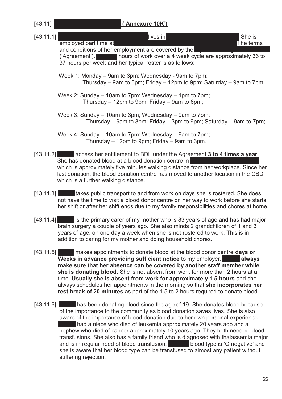| [43.11]   | ('Annexure 10K')                                                                                                                                                                                                                                                                                                                                                                                                                                                                                                                                                                              |
|-----------|-----------------------------------------------------------------------------------------------------------------------------------------------------------------------------------------------------------------------------------------------------------------------------------------------------------------------------------------------------------------------------------------------------------------------------------------------------------------------------------------------------------------------------------------------------------------------------------------------|
| [43.11.1] | lives in<br>She is<br>employed part time at<br>The terms                                                                                                                                                                                                                                                                                                                                                                                                                                                                                                                                      |
|           | and conditions of her employment are covered by the<br>hours of work over a 4 week cycle are approximately 36 to<br>('Agreement').<br>$\mathcal{L}(\mathcal{L})$ and $\mathcal{L}(\mathcal{L})$ and $\mathcal{L}(\mathcal{L})$<br>37 hours per week and her typical roster is as follows:                                                                                                                                                                                                                                                                                                     |
|           | Week 1: Monday – 9am to 3pm; Wednesday - 9am to 7pm;<br>Thursday – 9am to 3pm; Friday – 12pm to 9pm; Saturday – 9am to 7pm;                                                                                                                                                                                                                                                                                                                                                                                                                                                                   |
|           | Week 2: Sunday – 10am to 7pm; Wednesday – 1pm to 7pm;<br>Thursday – 12pm to 9pm; Friday – 9am to 6pm;                                                                                                                                                                                                                                                                                                                                                                                                                                                                                         |
|           | Week 3: Sunday – 10am to 3pm; Wednesday – 9am to 7pm;<br>Thursday – 9am to 3pm; Friday – 3pm to 9pm; Saturday – 9am to 7pm;                                                                                                                                                                                                                                                                                                                                                                                                                                                                   |
|           | Week 4: Sunday – 10am to 7pm; Wednesday – 9am to 7pm;<br>Thursday – 12pm to 9pm; Friday – 9am to 3pm.                                                                                                                                                                                                                                                                                                                                                                                                                                                                                         |
|           | [43.11.2] access her entitlement to BDL under the Agreement 3 to 4 times a year.<br>She has donated blood at a blood donation centre in<br>which is approximately five minutes walking distance from her workplace. Since her<br>last donation, the blood donation centre has moved to another location in the CBD<br>which is a further walking distance.                                                                                                                                                                                                                                    |
| [43.11.3] | takes public transport to and from work on days she is rostered. She does<br>not have the time to visit a blood donor centre on her way to work before she starts<br>her shift or after her shift ends due to my family responsibilities and chores at home.                                                                                                                                                                                                                                                                                                                                  |
| [43.11.4] | is the primary carer of my mother who is 83 years of age and has had major<br>brain surgery a couple of years ago. She also minds 2 grandchildren of 1 and 3<br>years of age, on one day a week when she is not rostered to work. This is in<br>addition to caring for my mother and doing household chores.                                                                                                                                                                                                                                                                                  |
| [43.11.5] | makes appointments to donate blood at the blood donor centre days or<br>Weeks in advance providing sufficient notice to my employer.<br><b>always</b><br><b>Service Service</b><br>make sure that her absence can be covered by another staff member while<br>she is donating blood. She is not absent from work for more than 2 hours at a<br>time. Usually she is absent from work for approximately 1.5 hours and she<br>always schedules her appointments in the morning so that she incorporates her<br>rest break of 20 minutes as part of the 1.5 to 2 hours required to donate blood. |
| [43.11.6] | has been donating blood since the age of 19. She donates blood because<br>of the importance to the community as blood donation saves lives. She is also                                                                                                                                                                                                                                                                                                                                                                                                                                       |

 aware of the importance of blood donation due to her own personal experience. Marked a niece who died of leukemia approximately 20 years ago and a nephew who died of cancer approximately 10 years ago. They both needed blood transfusions. She also has a family friend who is diagnosed with thalassemia major and is in regular need of blood transfusion. Nareet blood type is 'O negative' and she is aware that her blood type can be transfused to almost any patient without suffering rejection.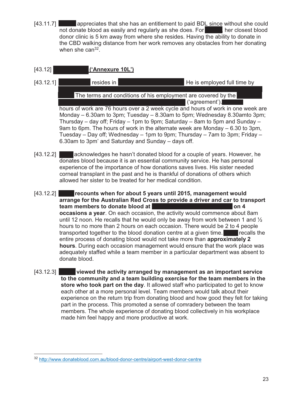- [43.11.7] **Marge appreciates that she has an entitlement to paid BDL since without she could** not donate blood as easily and regularly as she does. For Marge Liner closest blood donor clinic is 5 km away from where she resides. Having the ability to donate in the CBD walking distance from her work removes any obstacles from her donating when she can $32$ .
- [43.12] **Cannexure 10L'**)
- [43.12.1] **Drew Gilson resides in Toowoomba, Comba, Comba, American Figure 1.1** He is employed full time by Bunnings Group Limited trading as Bunnings Warehouse located in Toowoomba

The terms and conditions of his employment are covered by the  $\mathsf{I}$  ('agreement'). $\blacksquare$ 

 hours of work are 76 hours over a 2 week cycle and hours of work in one week are Monday – 6.30am to 3pm; Tuesday – 8.30am to 5pm; Wednesday 8.30amto 3pm; Thursday – day off; Friday – 1pm to 9pm; Saturday – 8am to 5pm and Sunday – 9am to 6pm. The hours of work in the alternate week are Monday – 6.30 to 3pm, Tuesday – Day off; Wednesday – 1pm to 9pm; Thursday – 7am to 3pm; Friday – 6.30am to 3pm' and Saturday and Sunday – days off.

- [43.12.2] **Drew acknowledges he hasn't donated blood for a couple of years. However, he**  donates blood because it is an essential community service. He has personal experience of the importance of how donations saves lives. His sister needed corneal transplant in the past and he is thankful of donations of others which allowed her sister to be treated for her medical condition.
- [43.12.2] **Drew recounts when for about 5 years until 2015, management would arrange for the Australian Red Cross to provide a driver and car to transport team members to donate blood at Toowoomba General Hospital on 4 occasions a year**. On each occasion, the activity would commence about 8am until 12 noon. He recalls that he would only be away from work between 1 and ½ hours to no more than 2 hours on each occasion. There would be 2 to 4 people transported together to the blood donation centre at a given time. The recalls the entire process of donating blood would not take more than **approximately 2 hours**. During each occasion management would ensure that the work place was adequately staffed while a team member in a particular department was absent to donate blood.
- [43.12.3] **Drew viewed the activity arranged by management as an important service to the community and a team building exercise for the team members in the store who took part on the day**. It allowed staff who participated to get to know each other at a more personal level. Team members would talk about their experience on the return trip from donating blood and how good they felt for taking part in the process. This promoted a sense of comradery between the team members. The whole experience of donating blood collectively in his workplace made him feel happy and more productive at work.

 $\overline{a}$ <sup>32</sup> http://www.donateblood.com.au/blood-donor-centre/airport-west-donor-centre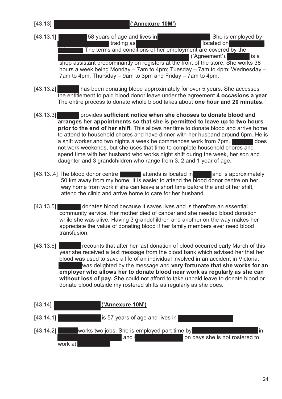[43.13] **Raelene Patricia Robertson ('Annexure 10M')** 

- [43.13.1] **Fig. 13.13.1]** 58 years of age and lives in Wyngard, Tasmania. She is employed by I trading as Woolworths Supermarket located on Goldie Street, Supermarket located on Goldie Street, Supermarket located on Goldie Street, Supermarket located on Goldie Street, Supermarket located on Goldie Street, Supermar The terms and conditions of her employment are covered by the  $\blacksquare$  ('Agreement').  $\blacksquare$  is a shop assistant predominantly on registers at the front of the store. She works 38 hours a week being Monday – 7am to 4pm; Tuesday – 7am to 4pm; Wednesday – 7am to 4pm, Thursday – 9am to 3pm and Friday – 7am to 4pm.
- [43.13.2] **Rakelenge has been donating blood approximately for over 5 years. She accesses**  the entitlement to paid blood donor leave under the agreement **4 occasions a year**. The entire process to donate whole blood takes about **one hour and 20 minutes**.
- [43.13.3] **Raelenge provides sufficient notice when she chooses to donate blood and arranges her appointments so that she is permitted to leave up to two hours prior to the end of her shift**. This allows her time to donate blood and arrive home to attend to household chores and have dinner with her husband around 6pm. He is a shift worker and two nights a week he commences work from 7pm. not work weekends, but she uses that time to complete household chores and spend time with her husband who works night shift during the week, her son and daughter and 3 grandchildren who range from 3, 2 and 1 year of age.
- $[43.13.4]$  The blood donor centre **Range attends is located in Burnie and is approximately**  50 km away from my home. It is easier to attend the blood donor centre on her way home from work if she can leave a short time before the end of her shift, attend the clinic and arrive home to care for her husband.
- [43.13.5] **Rapple donates blood because it saves lives and is therefore an essential**  community service. Her mother died of cancer and she needed blood donation while she was alive. Having 3 grandchildren and another on the way makes her appreciate the value of donating blood if her family members ever need blood transfusion.
- [43.13.6] **Ratio recounts that after her last donation of blood occurred early March of this**  year she received a text message from the blood bank which advised her that her blood was used to save a life of an individual involved in an accident in Victoria. was delighted by the message and **very fortunate that she works for an employer who allows her to donate blood near work as regularly as she can without loss of pay.** She could not afford to take unpaid leave to donate blood or donate blood outside my rostered shifts as regularly as she does.

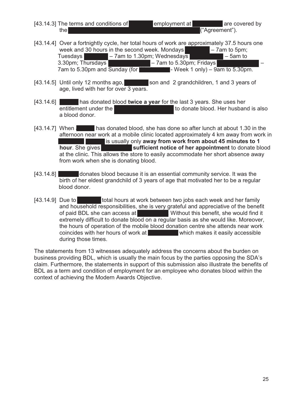- [43.14.3] The terms and conditions of **Joanne's employment at Tomac are covered by** the Woolworths National Supermarket Agreement 2012 ("Agreement").
- [43.14.4] Over a fortnightly cycle, her total hours of work are approximately 37.5 hours one week and 30 hours in the second week. Mondays  $\blacksquare$  – 7am to 5pm; Tuesdays  $\blacksquare$  – 7am to 1.30pm; Wednesdays  $\blacksquare$  – 5am to  $3.30 \text{pm}$ ; Thursdays  $\blacksquare$  – 7am to 5.30pm; Fridays 7am to 5.30pm and Sunday (for  $\blacksquare$  Week 1 only) – 9am to 5.30pm.
- [43.14.5] Until only 12 months ago, son and 2 grandchildren, 1 and 3 years of age, lived with her for over 3 years.
- [43.14.6] **Journal has donated blood twice a year** for the last 3 years. She uses her entitlement under the Woolworths Agreement to donate blood. Her husband is also a blood donor.
- [43.14.7] When  $\blacksquare$  has donated blood, she has done so after lunch at about 1.30 in the afternoon near work at a mobile clinic located approximately 4 km away from work in It is usually only away from work from about 45 minutes to 1 **hour**. She gives **Woodling is sufficient notice of her appointment** to donate blood at the clinic. This allows the store to easily accommodate her short absence away from work when she is donating blood.
- [43.14.8] donates blood because it is an essential community service. It was the birth of her eldest grandchild of 3 years of age that motivated her to be a regular blood donor.
- [43.14.9] Due to **Joseph Luis at Work between two jobs each week and her family**  and household responsibilities, she is very grateful and appreciative of the benefit of paid BDL she can access at Without this benefit, she would find it extremely difficult to donate blood on a regular basis as she would like. Moreover, the hours of operation of the mobile blood donation centre she attends near work coincides with her hours of work at  $\blacksquare$  which makes it easily accessible during those times.

The statements from 13 witnesses adequately address the concerns about the burden on business providing BDL, which is usually the main focus by the parties opposing the SDA's claim. Furthermore, the statements in support of this submission also illustrate the benefits of BDL as a term and condition of employment for an employee who donates blood within the context of achieving the Modern Awards Objective.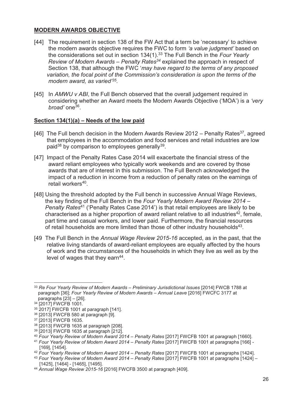#### **MODERN AWARDS OBJECTIVE**

- [44] The requirement in section 138 of the FW Act that a term be 'necessary' to achieve the modern awards objective requires the FWC to form *'a value judgment'* based on the considerations set out in section 134(1).33 The Full Bench in the *Four Yearly Review of Modern Awards – Penalty Rates34* explained the approach in respect of Section 138, that although the FWC '*may have regard to the terms of any proposed variation, the focal point of the Commission's consideration is upon the terms of the modern award, as varied'35.*
- [45] In *AMWU v ABI*, the Full Bench observed that the overall judgement required in considering whether an Award meets the Modern Awards Objective ('MOA') is a *'very broad'* one36.

### **Section 134(1)(a) – Needs of the low paid**

- [46] The Full bench decision in the Modern Awards Review 2012 Penalty Rates<sup>37</sup>, agreed that employees in the accommodation and food services and retail industries are low paid<sup>38</sup> by comparison to employees generally<sup>39</sup>.
- [47] Impact of the Penalty Rates Case 2014 will exacerbate the financial stress of the award reliant employees who typically work weekends and are covered by those awards that are of interest in this submission. The Full Bench acknowledged the impact of a reduction in income from a reduction of penalty rates on the earnings of retail workers<sup>40</sup>.
- [48] Using the threshold adopted by the Full bench in successive Annual Wage Reviews, the key finding of the Full Bench in the *Four Yearly Modern Award Review 2014 – Penalty Rates*41 ('Penalty Rates Case 2014') is that retail employees are likely to be characterised as a higher proportion of award reliant relative to all industries<sup>42</sup>, female, part time and casual workers, and lower paid. Furthermore, the financial resources of retail households are more limited than those of other industry households<sup>43</sup>.
- [49 The Full Bench in the *Annual Wage Review 2015-16* accepted, as in the past, that the relative living standards of award-reliant employees are equally affected by the hours of work and the circumstances of the households in which they live as well as by the level of wages that they earn<sup>44</sup>.

 $\overline{a}$ <sup>33</sup> *Re Four Yearly Review of Modern Awards – Preliminary Jurisdictional Issues* [2014] FWCB 1788 at paragraph [36]; *Four Yearly Review of Modern Awards – Annual Leave* [2016] FWCFC 3177 at paragraphs [23] – [26].

<sup>34 [2017]</sup> FWCFB 1001.

<sup>35 2017]</sup> FWCFB 1001 at paragraph [141].

<sup>36 [2013]</sup> FWCFB 580 at paragraph [9].

<sup>37 [2013]</sup> FWCFB 1635.

<sup>38 [2013]</sup> FWCFB 1635 at paragraph [208].

<sup>39 [2013]</sup> FWCFB 1635 at paragraph [212].

<sup>40</sup> *Four Yearly Review of Modern Award 2014 – Penalty Rates* [2017] FWCFB 1001 at paragraph [1660].

<sup>41</sup> *Four Yearly Review of Modern Award 2014 – Penalty Rates* [2017] FWCFB 1001 at paragraphs [166] - [169], [1454].

<sup>42</sup> *Four Yearly Review of Modern Award 2014 – Penalty Rates* [2017] FWCFB 1001 at paragraphs [1424].

<sup>43</sup> *Four Yearly Review of Modern Award 2014 – Penalty Rates* [2017] FWCFB 1001 at paragraphs [1424] – [1425], [1464] - [1465], [1495].

<sup>44</sup> *Annual Wage Review 2015-16* [2016] FWCFB 3500 at paragraph [409].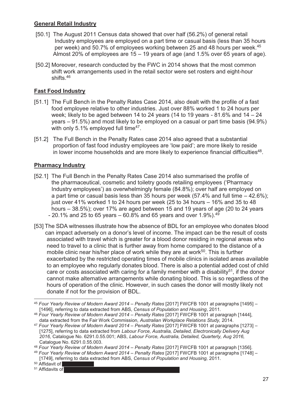### **General Retail Industry**

- [50.1] The August 2011 Census data showed that over half (56.2%) of general retail Industry employees are employed on a part time or casual basis (less than 35 hours per week) and 50.7% of employees working between 25 and 48 hours per week.<sup>45</sup> Almost 20% of employees are 15 – 19 years of age (and 1.5% over 65 years of age).
- [50.2] Moreover, research conducted by the FWC in 2014 shows that the most common shift work arrangements used in the retail sector were set rosters and eight-hour shifts.46

### **Fast Food Industry**

- [51.1] The Full Bench in the Penalty Rates Case 2014, also dealt with the profile of a fast food employee relative to other industries. Just over 88% worked 1 to 24 hours per week; likely to be aged between 14 to 24 years (14 to 19 years  $-81.6\%$  and  $14 - 24$  years – 91.5%) and most likely to be employed on a casual or part time basis (94.9%) with only 5.1% employed full time<sup>47</sup>.
- [51.2] The Full Bench in the Penalty Rates case 2014 also agreed that a substantial proportion of fast food industry employees are 'low paid'; are more likely to reside in lower income households and are more likely to experience financial difficulties<sup>48</sup>.

### **Pharmacy Industry**

- [52.1] The Full Bench in the Penalty Rates Case 2014 also summarised the profile of the pharmaceutical, cosmetic and toiletry goods retailing employees ('Pharmacy Industry employees') as overwhelmingly female (84.8%); over half are employed on a part time or casual basis less than 35 hours per week (57.4% and full time – 42.6%); just over 41% worked 1 to 24 hours per week (25 to 34 hours – 16% and 35 to 48 hours – 38.5%); over 17% are aged between 15 and 19 years of age (20 to 24 years - 20.1% and 25 to 65 years – 60.8% and 65 years and over 1.9%).  $49$
- [53] The SDA witnesses illustrate how the absence of BDL for an employee who donates blood can impact adversely on a donor's level of income. The impact can be the result of costs associated with travel which is greater for a blood donor residing in regional areas who need to travel to a clinic that is further away from home compared to the distance of a mobile clinic near his/her place of work while they are at work<sup>50</sup>. This is further exacerbated by the restricted operating times of mobile clinics in isolated areas available to an employee who regularly donates blood. There is also a potential added cost of child care or costs associated with caring for a family member with a disability<sup>51</sup>, if the donor cannot make alternative arrangements while donating blood. This is so regardless of the hours of operation of the clinic. However, in such cases the donor will mostly likely not donate if not for the provision of BDL.

 $51$  Affidavits of

 $\overline{a}$ <sup>45</sup> *Four Yearly Review of Modern Award 2014 – Penalty Rates* [2017] FWCFB 1001 at paragraphs [1495] – [1496], referring to data extracted from ABS, *Census of Population and Housing*, 2011.

<sup>46</sup> *Four Yearly Review of Modern Award 2014 – Penalty Rates* [2017] FWCFB 1001 at paragraph [1444], data extracted from the Fair Work Commission, *Australian Workplace Relations Study,* 2014.

<sup>47</sup> *Four Yearly Review of Modern Award 2014 – Penalty Rates* [2017] FWCFB 1001 at paragraphs [1273] – [1275], referring to data extracted from *Labour Force, Australia, Detailed, Electronically Delivery Aug 2016,* Catalogue No. 6291.0.55.001; ABS, *Labour Force, Australia, Detailed, Quarterly, Aug 2016,* Catalogue No. 6291.0.55.003.

<sup>48</sup> *Four Yearly Review of Modern Award 2014 – Penalty Rates* [2017] FWCFB 1001 at paragraph [1356].

<sup>49</sup> *Four Yearly Review of Modern Award 2014 – Penalty Rates* [2017] FWCFB 1001 at paragraphs [1748] –

 <sup>[1749],</sup> referring to data extracted from ABS, *Census of Population and Housing,* 2011.

 $50$  Affidavit of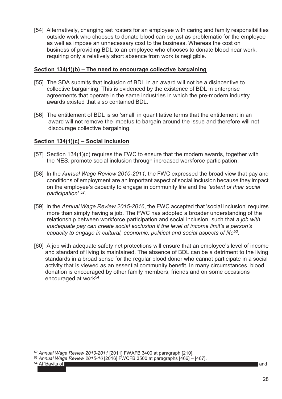[54] Alternatively, changing set rosters for an employee with caring and family responsibilities outside work who chooses to donate blood can be just as problematic for the employee as well as impose an unnecessary cost to the business. Whereas the cost on business of providing BDL to an employee who chooses to donate blood near work, requiring only a relatively short absence from work is negligible.

#### **Section 134(1)(b) – The need to encourage collective bargaining**

- [55] The SDA submits that inclusion of BDL in an award will not be a disincentive to collective bargaining. This is evidenced by the existence of BDL in enterprise agreements that operate in the same industries in which the pre-modern industry awards existed that also contained BDL.
- [56] The entitlement of BDL is so 'small' in quantitative terms that the entitlement in an award will not remove the impetus to bargain around the issue and therefore will not discourage collective bargaining.

#### **Section 134(1)(c) – Social inclusion**

- [57] Section 134(1)(c) requires the FWC to ensure that the modern awards, together with the NES, promote social inclusion through increased workforce participation.
- [58] In the *Annual Wage Review 2010-2011,* the FWC expressed the broad view that pay and conditions of employment are an important aspect of social inclusion because they impact on the employee's capacity to engage in community life and the *'extent of their social participation' 52.*
- [59] In the *Annual Wage Review 2015-2016*, the FWC accepted that 'social inclusion' requires more than simply having a job. The FWC has adopted a broader understanding of the relationship between workforce participation and social inclusion, such that *a job with inadequate pay can create social exclusion if the level of income limit's a person's capacity to engage in cultural, economic, political and social aspects of life53*.
- [60] A job with adequate safety net protections will ensure that an employee's level of income and standard of living is maintained. The absence of BDL can be a detriment to the living standards in a broad sense for the regular blood donor who cannot participate in a social activity that is viewed as an essential community benefit. In many circumstances, blood donation is encouraged by other family members, friends and on some occasions encouraged at work<sup>54</sup>.

54 Affidavits of Nicole Joy Elmer; Raelene Patricia Robertson; Glen Michael Smith; Michael David McErlane and Drew Gilson.

<sup>52</sup> *Annual Wage Review 2010-2011* [2011] FWAFB 3400 at paragraph [210].

<sup>53</sup> *Annual Wage Review 2015-16* [2016] FWCFB 3500 at paragraphs [466] – [467].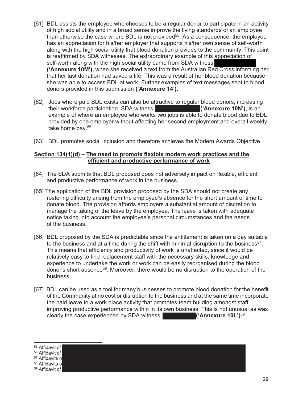- [61] BDL assists the employee who chooses to be a regular donor to participate in an activity of high social utility and in a broad sense improve the living standards of an employee than otherwise the case where BDL is not provided<sup>55</sup>. As a consequence, the employee has an appreciation for his/her employer that supports his/her own sense of self-worth along with the high social utility that blood donation provides to the community. This point is reaffirmed by SDA witnesses. The extraordinary example of this appreciation of self-worth along with the high social utility came from SDA witness  **('Annexure 10M'),** when she received a text from the Australian Red Cross informing her that her last donation had saved a life. This was a result of her blood donation because she was able to access BDL at work. Further examples of text messages sent to blood donors provided in this submission **('Annexure 14')**.
- [62] Jobs where paid BDL exists can also be attractive to regular blood donors, increasing<br>their workforce participation. SDA witness, their workforce participation. SDA witness, example of where an employee who works two jobs is able to donate blood due to BDL provided by one employer without affecting her second employment and overall weekly take home pay.56
- [63] BDL promotes social inclusion and therefore achieves the Modern Awards Objective.

#### **Section 134(1)(d) – The need to promote flexible modern work practices and the efficient and productive performance of work**

- [64] The SDA submits that BDL proposed does not adversely impact on flexible, efficient and productive performance of work in the business.
- [65] The application of the BDL provision proposed by the SDA should not create any rostering difficulty arising from the employee's absence for the short amount of time to donate blood. The provision affords employers a substantial amount of discretion to manage the taking of the leave by the employee. The leave is taken with adequate notice taking into account the employee's personal circumstances and the needs of the business.
- [66] BDL proposed by the SDA is predictable since the entitlement is taken on a day suitable to the business and at a time during the shift with minimal disruption to the business<sup>57</sup>. This means that efficiency and productivity of work is unaffected, since it would be relatively easy to find replacement staff with the necessary skills, knowledge and experience to undertake the work or work can be easily reorganised during the blood donor's short absence<sup>58</sup>. Moreover, there would be no disruption to the operation of the business.
- [67] BDL can be used as a tool for many businesses to promote blood donation for the benefit of the Community at no cost or disruption to the business and at the same time incorporate the paid leave to a work place activity that promotes team building amongst staff improving productive performance within in its own business. This is not unusual as was clearly the case experienced by SDA witness, **Example 2014** ('Annexure 10L')<sup>59</sup>.

 $\overline{a}$ <sup>55</sup> Affidavit of <sup>56</sup> Affidavit of <sup>57</sup> Affidavits of <sup>58</sup> Affidavits of  $59$  Affidavit of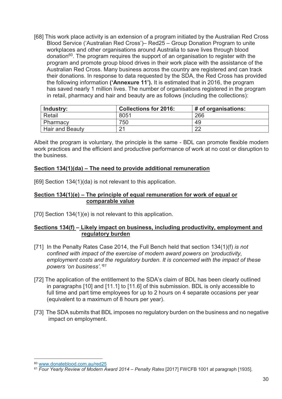[68] This work place activity is an extension of a program initiated by the Australian Red Cross Blood Service ('Australian Red Cross')– Red25 – Group Donation Program to unite workplaces and other organisations around Australia to save lives through blood donation<sup>60</sup>. The program requires the support of an organisation to register with the program and promote group blood drives in their work place with the assistance of the Australian Red Cross. Many business across the country are registered and can track their donations. In response to data requested by the SDA, the Red Cross has provided the following information **('Annexure 11').** It is estimated that in 2016, the program has saved nearly 1 million lives. The number of organisations registered in the program in retail, pharmacy and hair and beauty are as follows (including the collections):

| Industry:              | <b>Collections for 2016:</b> | # of organisations: |
|------------------------|------------------------------|---------------------|
| <b>Retail</b>          | 8051                         | 266                 |
| Pharmacy               | 750                          | 49                  |
| <b>Hair and Beauty</b> | 21                           | റ്റ                 |

Albeit the program is voluntary, the principle is the same - BDL can promote flexible modern work practices and the efficient and productive performance of work at no cost or disruption to the business.

#### **Section 134(1)(da) – The need to provide additional remuneration**

[69] Section 134(1)(da) is not relevant to this application.

#### **Section 134(1)(e) – The principle of equal remuneration for work of equal or comparable value**

[70] Section 134(1)(e) is not relevant to this application.

#### **Sections 134(f) – Likely impact on business, including productivity, employment and regulatory burden**

- [71] In the Penalty Rates Case 2014, the Full Bench held that section 134(1)(f) *is not confined with impact of the exercise of modern award powers on 'productivity, employment costs and the regulatory burden. It is concerned with the impact of these powers 'on business'.'61*
- [72] The application of the entitlement to the SDA's claim of BDL has been clearly outlined in paragraphs [10] and [11.1] to [11.6] of this submission. BDL is only accessible to full time and part time employees for up to 2 hours on 4 separate occasions per year (equivalent to a maximum of 8 hours per year).
- [73] The SDA submits that BDL imposes no regulatory burden on the business and no negative impact on employment.

<sup>60</sup> www.donateblood.com.au/red25 61 *Four Yearly Review of Modern Award 2014 – Penalty Rates* [2017] FWCFB 1001 at paragraph [1935].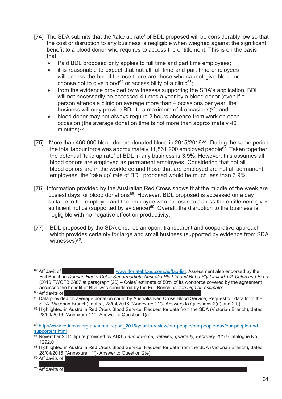- [74] The SDA submits that the 'take up rate' of BDL proposed will be considerably low so that the cost or disruption to any business is negligible when weighed against the significant benefit to a blood donor who requires to access the entitlement. This is on the basis that:
	- -Paid BDL proposed only applies to full time and part time employees;
	- it is reasonable to expect that not all full time and part time employees will access the benefit, since there are those who cannot give blood or choose not to give blood<sup>62</sup> or accessibility of a clinic<sup>63</sup>;
	- from the evidence provided by witnesses supporting the SDA's application, BDL will not necessarily be accessed 4 times a year by a blood donor (even if a person attends a clinic on average more than 4 occasions per year, the business will only provide BDL to a maximum of 4 occasions) $64$ ; and
	- blood donor may not always require 2 hours absence from work on each occasion (the average donation time is not more than approximately 40 minutes)<sup>65</sup>.
- [75] More than 460,000 blood donors donated blood in 2015/2016<sup>66</sup>. During the same period the total labour force was approximately 11,861,200 employed people<sup>67</sup>. Taken together, the potential 'take up rate' of BDL in any business is **3.9%**. However, this assumes all blood donors are employed as permanent employees. Considering that not all blood donors are in the workforce and those that are employed are not all permanent employees, the 'take up' rate of BDL proposed would be much less than 3.9%.
- [76] Information provided by the Australian Red Cross shows that the middle of the week are busiest days for blood donations<sup>68</sup>. However, BDL proposed is accessed on a day suitable to the employer and the employee who chooses to access the entitlement gives sufficient notice (supported by evidence)<sup>69</sup>. Overall, the disruption to the business is negligible with no negative effect on productivity.
- [77] BDL proposed by the SDA ensures an open, transparent and cooperative approach which provides certainty for large and small business (supported by evidence from SDA witnesses)<sup>70</sup>.

69 Affidavits of

 $\overline{a}$  $62$  Affidavit of  $\blacksquare$  Michael David McCrlanes; www.donateblood.com.au/faq-list; Assessment also endorsed by the Full Bench in *Duncan Hart v Coles Supermarkets Australia Pty Ltd and Bi-Lo Pty Limited T/A Coles and Bi Lo* [2016 FWCFB 2887 at paragraph [20] – Coles' estimate of 50% of its workforce covered by the agreement accesses the benefit of BDL was considered by the Full Bench as *'too high an estimate'*.<br><sup>63</sup> Affidavits of

<sup>&</sup>lt;sup>64</sup> Data provided on average donation count by Australia Red Cross Blood Service, Request for data from the SDA (Victorian Branch), dated, 28/04/2016 ('Annexure 11')- Answers to Questions 2(a) and 2(b).

<sup>65</sup> Highlighted in Australia Red Cross Blood Service, Request for data from the SDA (Victorian Branch), dated 28/04/2016 ('Annexure 11')- Answer to Question 1(a).

<sup>66</sup> http://www.redcross.org.au/annualreport\_2016/year-in-review/our-people/our-people-nav/our-people-andsupporters.html

<sup>67</sup> November 2015 figure provided by ABS, *Labour Force, detailed, quarterly, February 2016,*Catalogue No. 1292.0

<sup>68</sup> Highlighted in Australia Red Cross Blood Service, Request for data from the SDA (Victorian Branch), dated 28/04/2016 ('Annexure 11')- Answer to Question 2(e).

Raelene Patricia Robertson. <sup>70</sup> Affidavits of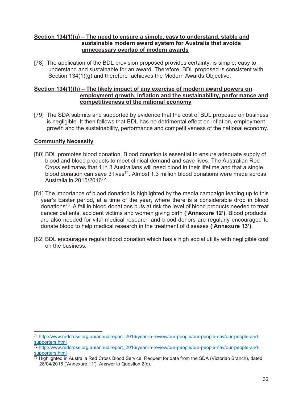#### **Section 134(1)(g) – The need to ensure a simple, easy to understand, stable and sustainable modern award system for Australia that avoids unnecessary overlap of modern awards**

[78] The application of the BDL provision proposed provides certainty, is simple, easy to understand and sustainable for an award. Therefore, BDL proposed is consistent with Section 134(1)(g) and therefore achieves the Modern Awards Objective.

#### **Section 134(1)(h) – The likely impact of any exercise of modern award powers on employment growth, inflation and the sustainability, performance and competitiveness of the national economy**

[79] The SDA submits and supported by evidence that the cost of BDL proposed on business is negligible. It then follows that BDL has no detrimental effect on inflation, employment growth and the sustainability, performance and competitiveness of the national economy.

### **Community Necessity**

- [80] BDL promotes blood donation. Blood donation is essential to ensure adequate supply of blood and blood products to meet clinical demand and save lives. The Australian Red Cross estimates that 1 in 3 Australians will need blood in their lifetime and that a single blood donation can save 3 lives<sup>71</sup>. Almost 1.3 million blood donations were made across Australia in 2015/201672.
- [81] The importance of blood donation is highlighted by the media campaign leading up to this year's Easter period, at a time of the year, where there is a considerable drop in blood donations<sup>73</sup>. A fall in blood donations puts at risk the level of blood products needed to treat cancer patients, accident victims and women giving birth **('Annexure 12')**. Blood products are also needed for vital medical research and blood donors are regularly encouraged to donate blood to help medical research in the treatment of diseases **('Annexure 13')**.
- [82] BDL encourages regular blood donation which has a high social utility with negligible cost on the business.

<sup>71</sup> http://www.redcross.org.au/annualreport\_2016/year-in-review/our-people/our-people-nav/our-people-andsupporters.html<br><sup>72</sup> http://www.redcross.org.au/annualreport\_2016/year-in-review/our-people/our-people-nav/our-people-and-

supporters.html

<sup>73</sup> Highlighted in Australia Red Cross Blood Service, Request for data from the SDA (Victorian Branch), dated 28/04/2016 ('Annexure 11'), Answer to Question 2(c).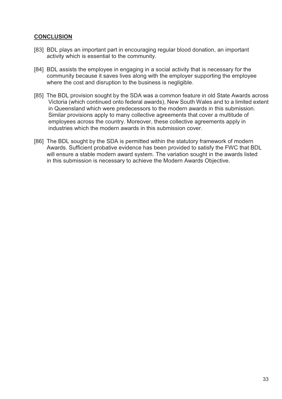#### **CONCLUSION**

- [83] BDL plays an important part in encouraging regular blood donation, an important activity which is essential to the community.
- [84] BDL assists the employee in engaging in a social activity that is necessary for the community because it saves lives along with the employer supporting the employee where the cost and disruption to the business is negligible.
- [85] The BDL provision sought by the SDA was a common feature in old State Awards across Victoria (which continued onto federal awards), New South Wales and to a limited extent in Queensland which were predecessors to the modern awards in this submission. Similar provisions apply to many collective agreements that cover a multitude of employees across the country. Moreover, these collective agreements apply in industries which the modern awards in this submission cover.
- [86] The BDL sought by the SDA is permitted within the statutory framework of modern Awards. Sufficient probative evidence has been provided to satisfy the FWC that BDL will ensure a stable modern award system. The variation sought in the awards listed in this submission is necessary to achieve the Modern Awards Objective.